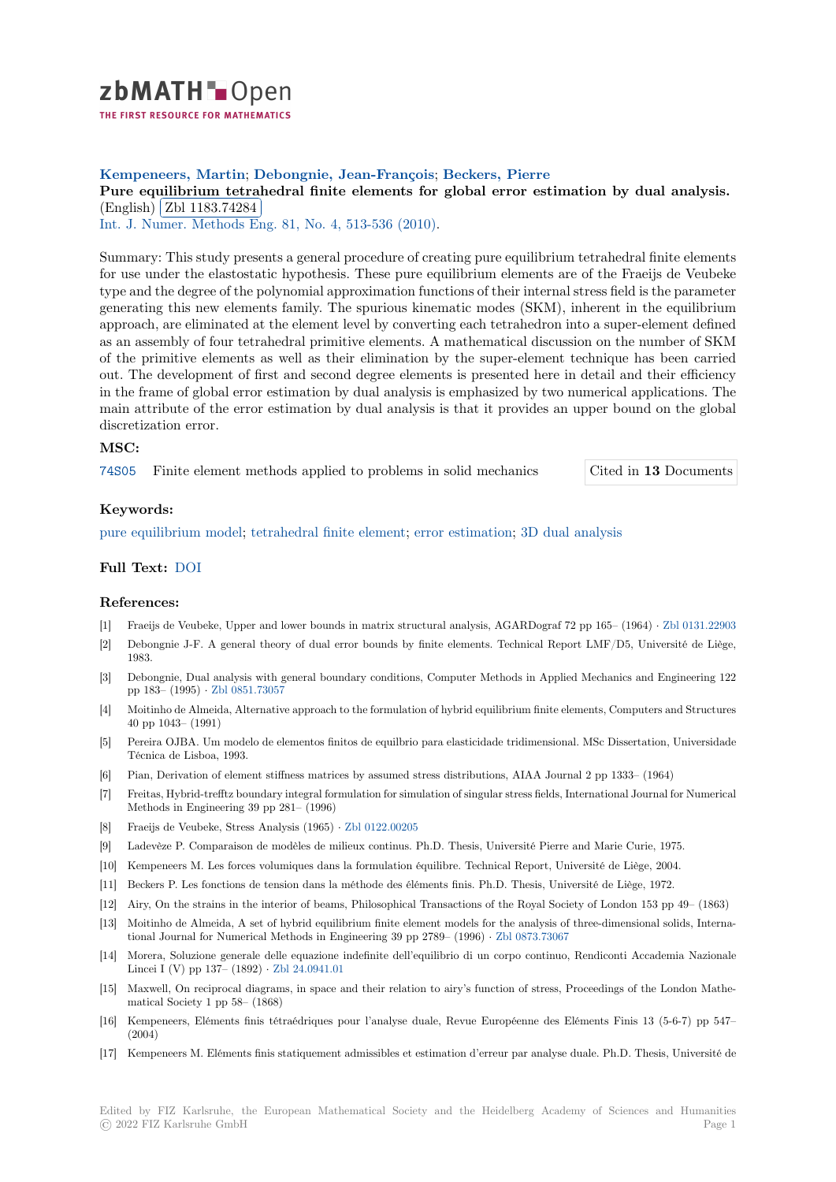

# **Kempeneers, Martin**; **Debongnie, Jean-François**; **Beckers, Pierre**

[P](https://zbmath.org/)ure equilibrium tetrahedral finite elements for global error estimation by dual analysis. (English) Zbl 1183.74284

<sup>(Lingman)</sup> (201 1100.14204)<br>Int. J. Numer. Methods Eng. 81, No. 4, 513-536 (2010).

[Summary: This study presents a general procedure of creating pure equilibrium tetrahedral finite element](https://zbmath.org/1183.74284)s for use u[nder the elastostat](https://zbmath.org/1183.74284)ic hypothesis. These pure equilibrium elements are of the Fraeijs de Veubeke [type and the degree of the poly](https://zbmath.org/journals/?q=se:462)[nomial approximation fun](https://zbmath.org/?q=in:257652)ctions of their internal stress field is the parameter generating this new elements family. The spurious kinematic modes (SKM), inherent in the equilibrium approach, are eliminated at the element level by converting each tetrahedron into a super-element defined as an assembly of four tetrahedral primitive elements. A mathematical discussion on the number of SKM of the primitive elements as well as their elimination by the super-element technique has been carried out. The development of first and second degree elements is presented here in detail and their efficiency in the frame of global error estimation by dual analysis is emphasized by two numerical applications. The main attribute of the error estimation by dual analysis is that it provides an upper bound on the global discretization error.

### **MSC:**

74S05 Finite element methods applied to problems in solid mechanics Cited in **13** Documents

### **Keywords:**

[pure e](https://zbmath.org/classification/?q=cc:74S05)quilibrium model; tetrahedral finite element; error estimation; 3D dual an[alysis](https://zbmath.org/?q=rf:1183.74284|5687450)

## **Full Text:** DOI

#### **[References:](https://zbmath.org/?q=ut:pure+equilibrium+model)**

- [1] Fraeijs de Veubeke, Upper and lower bounds in matrix structural analysis, AGARDograf 72 pp 165– (1964) *·* Zbl 0131.22903
- [2] Debongni[e J-F.](https://dx.doi.org/10.1002/nme.2703) A general theory of dual error bounds by finite elements. Technical Report LMF/D5, Université de Liège, 1983.
- [3] Debongnie, Dual analysis with general boundary conditions, Computer Methods in Applied Mechanics and Engineering 122 pp 183– (1995) *·* Zbl 0851.73057
- [4] Moitinho de Almeida, Alternative approach to the formulation of hybrid equilibrium finite elements, Computers and Structures 40 pp 1043– (1991)
- [5] Pereira OJBA. Um modelo de elementos finitos de equilbrio para elasticidade tridimensional. MSc Dissertation, Universidade Técnica de Lisbo[a, 1993.](https://zbmath.org/0851.73057)
- [6] Pian, Derivation of element stiffness matrices by assumed stress distributions, AIAA Journal 2 pp 1333– (1964)
- [7] Freitas, Hybrid-trefftz boundary integral formulation for simulation of singular stress fields, International Journal for Numerical Methods in Engineering 39 pp 281– (1996)
- [8] Fraeijs de Veubeke, Stress Analysis (1965) *·* Zbl 0122.00205
- [9] Ladevèze P. Comparaison de modèles de milieux continus. Ph.D. Thesis, Université Pierre and Marie Curie, 1975.
- [10] Kempeneers M. Les forces volumiques dans la formulation équilibre. Technical Report, Université de Liège, 2004.
- [11] Beckers P. Les fonctions de tension dans la méthode des éléments finis. Ph.D. Thesis, Université de Liège, 1972.
- [12] Airy, On the strains in the interior of beams[, Philosophical](https://zbmath.org/0122.00205) Transactions of the Royal Society of London 153 pp 49– (1863)
- [13] Moitinho de Almeida, A set of hybrid equilibrium finite element models for the analysis of three-dimensional solids, International Journal for Numerical Methods in Engineering 39 pp 2789– (1996) *·* Zbl 0873.73067
- [14] Morera, Soluzione generale delle equazione indefinite dell'equilibrio di un corpo continuo, Rendiconti Accademia Nazionale Lincei I (V) pp 137– (1892) *·* Zbl 24.0941.01
- [15] Maxwell, On reciprocal diagrams, in space and their relation to airy's function of stress, Proceedings of the London Mathematical Society 1 pp 58– (1868)
- [16] Kempeneers, Eléments finis tétraédriques pour l'analyse duale, Revue Européenne des Eléments Finis 13 (5-6-7) pp 547– (2004)
- [17] Kempeneers M. Eléments finis statiquement admissibles et estimation d'erreur par analyse duale. Ph.D. Thesis, Université de